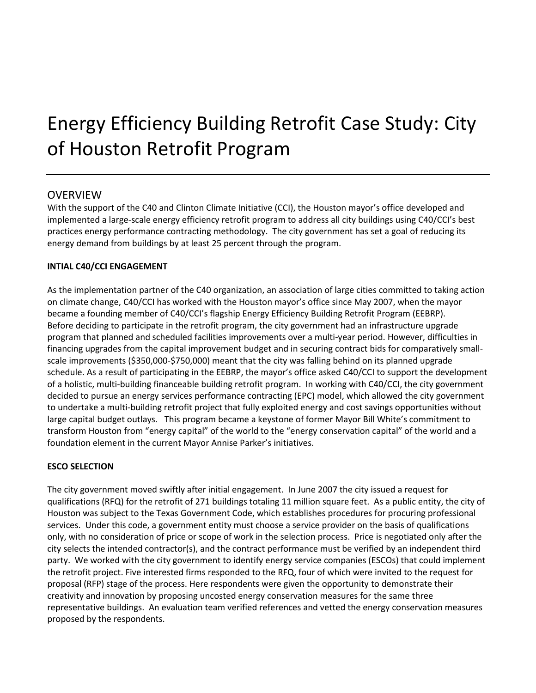# Energy Efficiency Building Retrofit Case Study: City of Houston Retrofit Program

## **OVERVIEW**

With the support of the C40 and Clinton Climate Initiative (CCI), the Houston mayor's office developed and implemented a large-scale energy efficiency retrofit program to address all city buildings using C40/CCI's best practices energy performance contracting methodology. The city government has set a goal of reducing its energy demand from buildings by at least 25 percent through the program.

### **INTIAL C40/CCI ENGAGEMENT**

As the implementation partner of the C40 organization, an association of large cities committed to taking action on climate change, C40/CCI has worked with the Houston mayor's office since May 2007, when the mayor became a founding member of C40/CCI's flagship Energy Efficiency Building Retrofit Program (EEBRP). Before deciding to participate in the retrofit program, the city government had an infrastructure upgrade program that planned and scheduled facilities improvements over a multi-year period. However, difficulties in financing upgrades from the capital improvement budget and in securing contract bids for comparatively smallscale improvements (\$350,000-\$750,000) meant that the city was falling behind on its planned upgrade schedule. As a result of participating in the EEBRP, the mayor's office asked C40/CCI to support the development of a holistic, multi-building financeable building retrofit program. In working with C40/CCI, the city government decided to pursue an energy services performance contracting (EPC) model, which allowed the city government to undertake a multi-building retrofit project that fully exploited energy and cost savings opportunities without large capital budget outlays. This program became a keystone of former Mayor Bill White's commitment to transform Houston from "energy capital" of the world to the "energy conservation capital" of the world and a foundation element in the current Mayor Annise Parker's initiatives.

### **ESCO SELECTION**

The city government moved swiftly after initial engagement. In June 2007 the city issued a request for qualifications (RFQ) for the retrofit of 271 buildings totaling 11 million square feet. As a public entity, the city of Houston was subject to the Texas Government Code, which establishes procedures for procuring professional services. Under this code, a government entity must choose a service provider on the basis of qualifications only, with no consideration of price or scope of work in the selection process. Price is negotiated only after the city selects the intended contractor(s), and the contract performance must be verified by an independent third party. We worked with the city government to identify energy service companies (ESCOs) that could implement the retrofit project. Five interested firms responded to the RFQ, four of which were invited to the request for proposal (RFP) stage of the process. Here respondents were given the opportunity to demonstrate their creativity and innovation by proposing uncosted energy conservation measures for the same three representative buildings. An evaluation team verified references and vetted the energy conservation measures proposed by the respondents.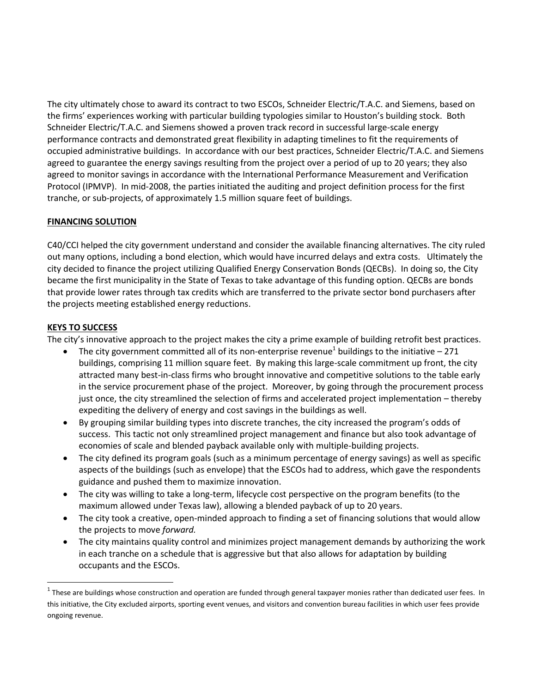The city ultimately chose to award its contract to two ESCOs, Schneider Electric/T.A.C. and Siemens, based on the firms' experiences working with particular building typologies similar to Houston's building stock. Both Schneider Electric/T.A.C. and Siemens showed a proven track record in successful large-scale energy performance contracts and demonstrated great flexibility in adapting timelines to fit the requirements of occupied administrative buildings. In accordance with our best practices, Schneider Electric/T.A.C. and Siemens agreed to guarantee the energy savings resulting from the project over a period of up to 20 years; they also agreed to monitor savings in accordance with the International Performance Measurement and Verification Protocol (IPMVP). In mid-2008, the parties initiated the auditing and project definition process for the first tranche, or sub-projects, of approximately 1.5 million square feet of buildings.

### **FINANCING SOLUTION**

C40/CCI helped the city government understand and consider the available financing alternatives. The city ruled out many options, including a bond election, which would have incurred delays and extra costs. Ultimately the city decided to finance the project utilizing Qualified Energy Conservation Bonds (QECBs). In doing so, the City became the first municipality in the State of Texas to take advantage of this funding option. QECBs are bonds that provide lower rates through tax credits which are transferred to the private sector bond purchasers after the projects meeting established energy reductions.

#### **KEYS TO SUCCESS**

l

The city's innovative approach to the project makes the city a prime example of building retrofit best practices.

- The city government committed all of its non-enterprise revenue<sup>1</sup> buildings to the initiative 271 buildings, comprising 11 million square feet. By making this large-scale commitment up front, the city attracted many best-in-class firms who brought innovative and competitive solutions to the table early in the service procurement phase of the project. Moreover, by going through the procurement process just once, the city streamlined the selection of firms and accelerated project implementation – thereby expediting the delivery of energy and cost savings in the buildings as well.
- By grouping similar building types into discrete tranches, the city increased the program's odds of success. This tactic not only streamlined project management and finance but also took advantage of economies of scale and blended payback available only with multiple-building projects.
- The city defined its program goals (such as a minimum percentage of energy savings) as well as specific aspects of the buildings (such as envelope) that the ESCOs had to address, which gave the respondents guidance and pushed them to maximize innovation.
- The city was willing to take a long-term, lifecycle cost perspective on the program benefits (to the maximum allowed under Texas law), allowing a blended payback of up to 20 years.
- The city took a creative, open-minded approach to finding a set of financing solutions that would allow the projects to move *forward.*
- The city maintains quality control and minimizes project management demands by authorizing the work in each tranche on a schedule that is aggressive but that also allows for adaptation by building occupants and the ESCOs.

 $^1$  These are buildings whose construction and operation are funded through general taxpayer monies rather than dedicated user fees. In this initiative, the City excluded airports, sporting event venues, and visitors and convention bureau facilities in which user fees provide ongoing revenue.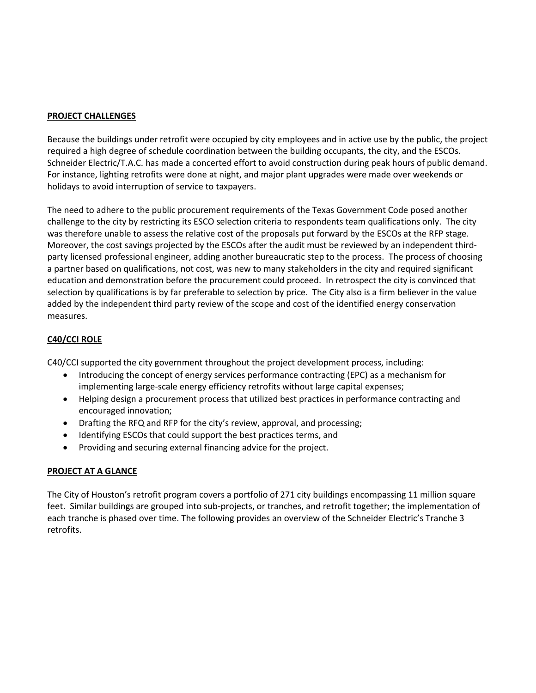#### **PROJECT CHALLENGES**

Because the buildings under retrofit were occupied by city employees and in active use by the public, the project required a high degree of schedule coordination between the building occupants, the city, and the ESCOs. Schneider Electric/T.A.C. has made a concerted effort to avoid construction during peak hours of public demand. For instance, lighting retrofits were done at night, and major plant upgrades were made over weekends or holidays to avoid interruption of service to taxpayers.

The need to adhere to the public procurement requirements of the Texas Government Code posed another challenge to the city by restricting its ESCO selection criteria to respondents team qualifications only. The city was therefore unable to assess the relative cost of the proposals put forward by the ESCOs at the RFP stage. Moreover, the cost savings projected by the ESCOs after the audit must be reviewed by an independent thirdparty licensed professional engineer, adding another bureaucratic step to the process. The process of choosing a partner based on qualifications, not cost, was new to many stakeholders in the city and required significant education and demonstration before the procurement could proceed. In retrospect the city is convinced that selection by qualifications is by far preferable to selection by price. The City also is a firm believer in the value added by the independent third party review of the scope and cost of the identified energy conservation measures.

#### **C40/CCI ROLE**

C40/CCI supported the city government throughout the project development process, including:

- Introducing the concept of energy services performance contracting (EPC) as a mechanism for implementing large-scale energy efficiency retrofits without large capital expenses;
- Helping design a procurement process that utilized best practices in performance contracting and encouraged innovation;
- Drafting the RFQ and RFP for the city's review, approval, and processing;
- Identifying ESCOs that could support the best practices terms, and
- Providing and securing external financing advice for the project.

#### **PROJECT AT A GLANCE**

The City of Houston's retrofit program covers a portfolio of 271 city buildings encompassing 11 million square feet. Similar buildings are grouped into sub-projects, or tranches, and retrofit together; the implementation of each tranche is phased over time. The following provides an overview of the Schneider Electric's Tranche 3 retrofits.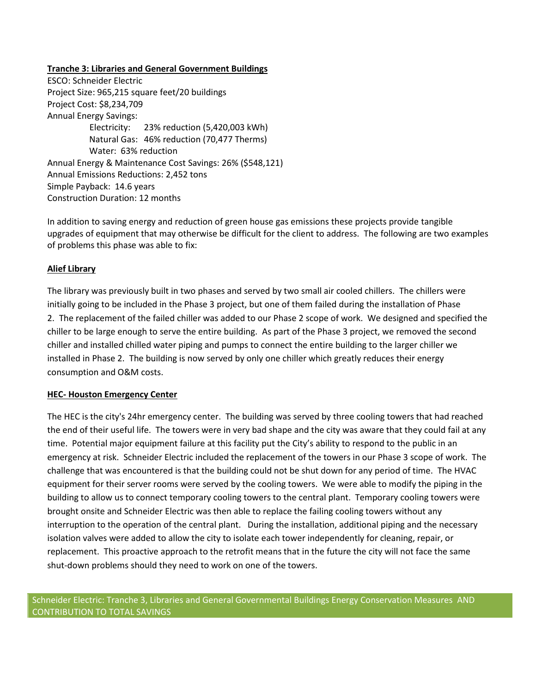#### **Tranche 3: Libraries and General Government Buildings**

ESCO: Schneider Electric Project Size: 965,215 square feet/20 buildings Project Cost: \$8,234,709 Annual Energy Savings: Electricity: 23% reduction (5,420,003 kWh) Natural Gas: 46% reduction (70,477 Therms) Water: 63% reduction Annual Energy & Maintenance Cost Savings: 26% (\$548,121) Annual Emissions Reductions: 2,452 tons Simple Payback: 14.6 years Construction Duration: 12 months

In addition to saving energy and reduction of green house gas emissions these projects provide tangible upgrades of equipment that may otherwise be difficult for the client to address. The following are two examples of problems this phase was able to fix:

#### **Alief Library**

The library was previously built in two phases and served by two small air cooled chillers. The chillers were initially going to be included in the Phase 3 project, but one of them failed during the installation of Phase 2. The replacement of the failed chiller was added to our Phase 2 scope of work. We designed and specified the chiller to be large enough to serve the entire building. As part of the Phase 3 project, we removed the second chiller and installed chilled water piping and pumps to connect the entire building to the larger chiller we installed in Phase 2. The building is now served by only one chiller which greatly reduces their energy consumption and O&M costs.

#### **HEC- Houston Emergency Center**

The HEC is the city's 24hr emergency center. The building was served by three cooling towers that had reached the end of their useful life. The towers were in very bad shape and the city was aware that they could fail at any time. Potential major equipment failure at this facility put the City's ability to respond to the public in an emergency at risk. Schneider Electric included the replacement of the towers in our Phase 3 scope of work. The challenge that was encountered is that the building could not be shut down for any period of time. The HVAC equipment for their server rooms were served by the cooling towers. We were able to modify the piping in the building to allow us to connect temporary cooling towers to the central plant. Temporary cooling towers were brought onsite and Schneider Electric was then able to replace the failing cooling towers without any interruption to the operation of the central plant. During the installation, additional piping and the necessary isolation valves were added to allow the city to isolate each tower independently for cleaning, repair, or replacement. This proactive approach to the retrofit means that in the future the city will not face the same shut-down problems should they need to work on one of the towers.